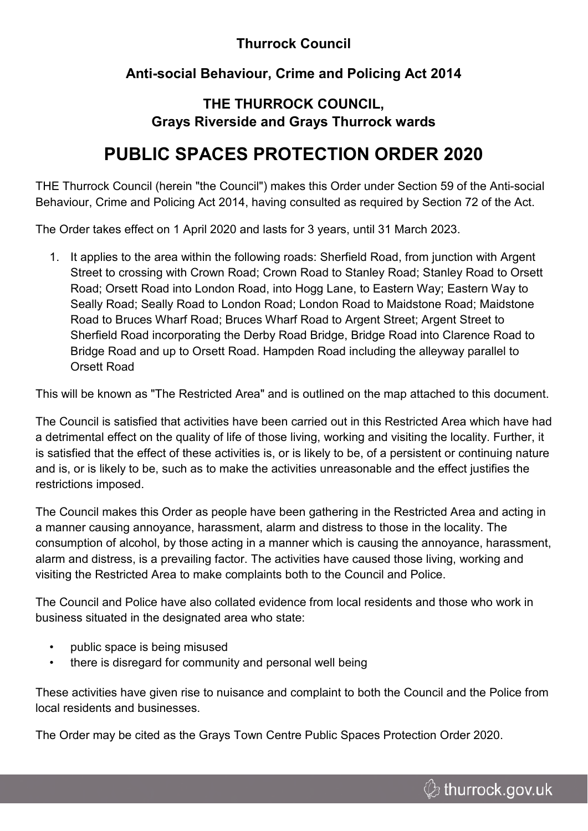### **Thurrock Council**

### **Anti-social Behaviour, Crime and Policing Act 2014**

### **THE THURROCK COUNCIL, Grays Riverside and Grays Thurrock wards**

# **PUBLIC SPACES PROTECTION ORDER 2020**

THE Thurrock Council (herein "the Council") makes this Order under Section 59 of the Anti-social Behaviour, Crime and Policing Act 2014, having consulted as required by Section 72 of the Act.

The Order takes effect on 1 April 2020 and lasts for 3 years, until 31 March 2023.

1. It applies to the area within the following roads: Sherfield Road, from junction with Argent Street to crossing with Crown Road; Crown Road to Stanley Road; Stanley Road to Orsett Road; Orsett Road into London Road, into Hogg Lane, to Eastern Way; Eastern Way to Seally Road; Seally Road to London Road; London Road to Maidstone Road; Maidstone Road to Bruces Wharf Road; Bruces Wharf Road to Argent Street; Argent Street to Sherfield Road incorporating the Derby Road Bridge, Bridge Road into Clarence Road to Bridge Road and up to Orsett Road. Hampden Road including the alleyway parallel to Orsett Road

This will be known as "The Restricted Area" and is outlined on the map attached to this document.

The Council is satisfied that activities have been carried out in this Restricted Area which have had a detrimental effect on the quality of life of those living, working and visiting the locality. Further, it is satisfied that the effect of these activities is, or is likely to be, of a persistent or continuing nature and is, or is likely to be, such as to make the activities unreasonable and the effect justifies the restrictions imposed.

The Council makes this Order as people have been gathering in the Restricted Area and acting in a manner causing annoyance, harassment, alarm and distress to those in the locality. The consumption of alcohol, by those acting in a manner which is causing the annoyance, harassment, alarm and distress, is a prevailing factor. The activities have caused those living, working and visiting the Restricted Area to make complaints both to the Council and Police.

The Council and Police have also collated evidence from local residents and those who work in business situated in the designated area who state:

- public space is being misused
- there is disregard for community and personal well being

These activities have given rise to nuisance and complaint to both the Council and the Police from local residents and businesses.

The Order may be cited as the Grays Town Centre Public Spaces Protection Order 2020.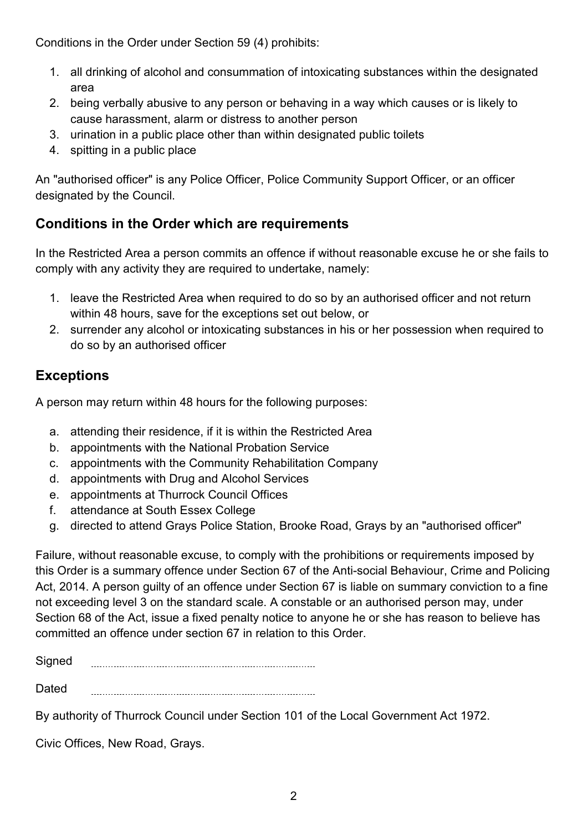Conditions in the Order under Section 59 (4) prohibits:

- 1. all drinking of alcohol and consummation of intoxicating substances within the designated area
- 2. being verbally abusive to any person or behaving in a way which causes or is likely to cause harassment, alarm or distress to another person
- 3. urination in a public place other than within designated public toilets
- 4. spitting in a public place

An "authorised officer" is any Police Officer, Police Community Support Officer, or an officer designated by the Council.

## **Conditions in the Order which are requirements**

In the Restricted Area a person commits an offence if without reasonable excuse he or she fails to comply with any activity they are required to undertake, namely:

- 1. leave the Restricted Area when required to do so by an authorised officer and not return within 48 hours, save for the exceptions set out below, or
- 2. surrender any alcohol or intoxicating substances in his or her possession when required to do so by an authorised officer

## **Exceptions**

A person may return within 48 hours for the following purposes:

- a. attending their residence, if it is within the Restricted Area
- b. appointments with the National Probation Service
- c. appointments with the Community Rehabilitation Company
- d. appointments with Drug and Alcohol Services
- e. appointments at Thurrock Council Offices
- f. attendance at South Essex College
- g. directed to attend Grays Police Station, Brooke Road, Grays by an "authorised officer"

Failure, without reasonable excuse, to comply with the prohibitions or requirements imposed by this Order is a summary offence under Section 67 of the Anti-social Behaviour, Crime and Policing Act, 2014. A person guilty of an offence under Section 67 is liable on summary conviction to a fine not exceeding level 3 on the standard scale. A constable or an authorised person may, under Section 68 of the Act, issue a fixed penalty notice to anyone he or she has reason to believe has committed an offence under section 67 in relation to this Order.

**Signed** 

**Dated** 

By authority of Thurrock Council under Section 101 of the Local Government Act 1972.

Civic Offices, New Road, Grays.